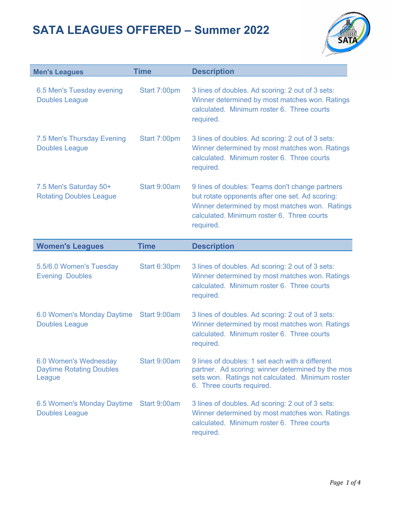

| <b>Men's Leagues</b>                                               | <b>Time</b>  | <b>Description</b>                                                                                                                                                                                              |
|--------------------------------------------------------------------|--------------|-----------------------------------------------------------------------------------------------------------------------------------------------------------------------------------------------------------------|
| 6.5 Men's Tuesday evening<br><b>Doubles League</b>                 | Start 7:00pm | 3 lines of doubles. Ad scoring: 2 out of 3 sets:<br>Winner determined by most matches won. Ratings<br>calculated. Minimum roster 6. Three courts<br>required.                                                   |
| 7.5 Men's Thursday Evening<br><b>Doubles League</b>                | Start 7:00pm | 3 lines of doubles. Ad scoring: 2 out of 3 sets:<br>Winner determined by most matches won. Ratings<br>calculated. Minimum roster 6. Three courts<br>required.                                                   |
| 7.5 Men's Saturday 50+<br><b>Rotating Doubles League</b>           | Start 9:00am | 9 lines of doubles: Teams don't change partners<br>but rotate opponents after one set. Ad scoring:<br>Winner determined by most matches won. Ratings<br>calculated. Minimum roster 6. Three courts<br>required. |
| <b>Women's Leagues</b>                                             | <b>Time</b>  | <b>Description</b>                                                                                                                                                                                              |
| 5.5/6.0 Women's Tuesday<br><b>Evening Doubles</b>                  | Start 6:30pm | 3 lines of doubles. Ad scoring: 2 out of 3 sets:<br>Winner determined by most matches won. Ratings<br>calculated. Minimum roster 6. Three courts<br>required.                                                   |
| 6.0 Women's Monday Daytime<br><b>Doubles League</b>                | Start 9:00am | 3 lines of doubles. Ad scoring: 2 out of 3 sets:<br>Winner determined by most matches won. Ratings<br>calculated. Minimum roster 6. Three courts<br>required.                                                   |
| 6.0 Women's Wednesday<br><b>Daytime Rotating Doubles</b><br>League | Start 9:00am | 9 lines of doubles: 1 set each with a different<br>partner. Ad scoring: winner determined by the mos<br>sets won. Ratings not calculated. Minimum roster<br>6. Three courts required.                           |
| 6.5 Women's Monday Daytime<br><b>Doubles League</b>                | Start 9:00am | 3 lines of doubles. Ad scoring: 2 out of 3 sets:<br>Winner determined by most matches won. Ratings<br>calculated. Minimum roster 6. Three courts<br>required.                                                   |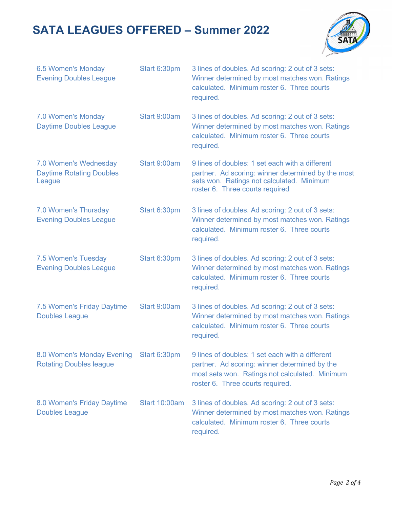

| 6.5 Women's Monday<br><b>Evening Doubles League</b>                | Start 6:30pm         | 3 lines of doubles. Ad scoring: 2 out of 3 sets:<br>Winner determined by most matches won. Ratings<br>calculated. Minimum roster 6. Three courts<br>required.                          |
|--------------------------------------------------------------------|----------------------|----------------------------------------------------------------------------------------------------------------------------------------------------------------------------------------|
| 7.0 Women's Monday<br><b>Daytime Doubles League</b>                | Start 9:00am         | 3 lines of doubles. Ad scoring: 2 out of 3 sets:<br>Winner determined by most matches won. Ratings<br>calculated. Minimum roster 6. Three courts<br>required.                          |
| 7.0 Women's Wednesday<br><b>Daytime Rotating Doubles</b><br>League | Start 9:00am         | 9 lines of doubles: 1 set each with a different<br>partner. Ad scoring: winner determined by the most<br>sets won. Ratings not calculated. Minimum<br>roster 6. Three courts required  |
| 7.0 Women's Thursday<br><b>Evening Doubles League</b>              | Start 6:30pm         | 3 lines of doubles. Ad scoring: 2 out of 3 sets:<br>Winner determined by most matches won. Ratings<br>calculated. Minimum roster 6. Three courts<br>required.                          |
| 7.5 Women's Tuesday<br><b>Evening Doubles League</b>               | Start 6:30pm         | 3 lines of doubles. Ad scoring: 2 out of 3 sets:<br>Winner determined by most matches won. Ratings<br>calculated. Minimum roster 6. Three courts<br>required.                          |
| 7.5 Women's Friday Daytime<br><b>Doubles League</b>                | Start 9:00am         | 3 lines of doubles. Ad scoring: 2 out of 3 sets:<br>Winner determined by most matches won. Ratings<br>calculated. Minimum roster 6. Three courts<br>required.                          |
| 8.0 Women's Monday Evening<br><b>Rotating Doubles league</b>       | Start 6:30pm         | 9 lines of doubles: 1 set each with a different<br>partner. Ad scoring: winner determined by the<br>most sets won. Ratings not calculated. Minimum<br>roster 6. Three courts required. |
| 8.0 Women's Friday Daytime<br><b>Doubles League</b>                | <b>Start 10:00am</b> | 3 lines of doubles. Ad scoring: 2 out of 3 sets:<br>Winner determined by most matches won. Ratings<br>calculated. Minimum roster 6. Three courts<br>required.                          |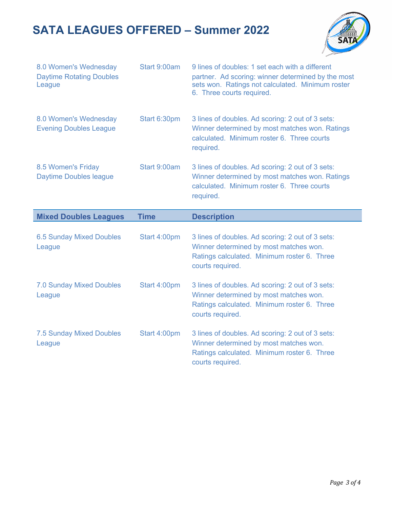

| 8.0 Women's Wednesday<br><b>Daytime Rotating Doubles</b><br>League | Start 9:00am | 9 lines of doubles: 1 set each with a different<br>partner. Ad scoring: winner determined by the most<br>sets won. Ratings not calculated. Minimum roster<br>6. Three courts required. |
|--------------------------------------------------------------------|--------------|----------------------------------------------------------------------------------------------------------------------------------------------------------------------------------------|
| 8.0 Women's Wednesday<br><b>Evening Doubles League</b>             | Start 6:30pm | 3 lines of doubles. Ad scoring: 2 out of 3 sets:<br>Winner determined by most matches won. Ratings<br>calculated. Minimum roster 6. Three courts<br>required.                          |
| 8.5 Women's Friday<br><b>Daytime Doubles league</b>                | Start 9:00am | 3 lines of doubles. Ad scoring: 2 out of 3 sets:<br>Winner determined by most matches won. Ratings<br>calculated. Minimum roster 6. Three courts<br>required.                          |
| <b>Mixed Doubles Leagues</b>                                       | <b>Time</b>  | <b>Description</b>                                                                                                                                                                     |
|                                                                    |              |                                                                                                                                                                                        |
| <b>6.5 Sunday Mixed Doubles</b><br>League                          | Start 4:00pm | 3 lines of doubles. Ad scoring: 2 out of 3 sets:<br>Winner determined by most matches won.<br>Ratings calculated. Minimum roster 6. Three<br>courts required.                          |
| <b>7.0 Sunday Mixed Doubles</b><br>League                          | Start 4:00pm | 3 lines of doubles. Ad scoring: 2 out of 3 sets:<br>Winner determined by most matches won.<br>Ratings calculated. Minimum roster 6. Three<br>courts required.                          |